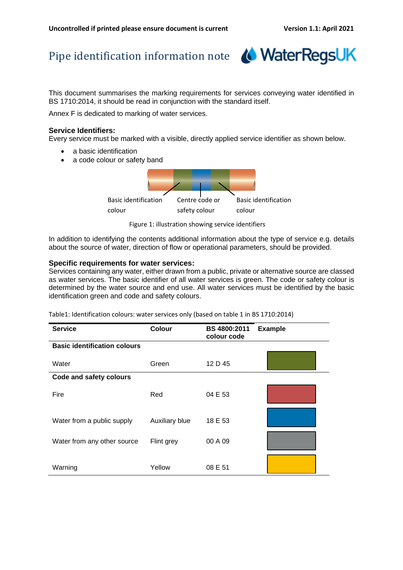## Pipe identification information note



This document summarises the marking requirements for services conveying water identified in BS 1710:2014, it should be read in conjunction with the standard itself.

Annex F is dedicated to marking of water services.

## **Service Identifiers:**

Every service must be marked with a visible, directly applied service identifier as shown below.

- a basic identification
- a code colour or safety band



Figure 1: illustration showing service identifiers

In addition to identifying the contents additional information about the type of service e.g. details about the source of water, direction of flow or operational parameters, should be provided.

## **Specific requirements for water services:**

Services containing any water, either drawn from a public, private or alternative source are classed as water services. The basic identifier of all water services is green. The code or safety colour is determined by the water source and end use. All water services must be identified by the basic identification green and code and safety colours.

Table1: Identification colours: water services only (based on table 1 in BS 1710:2014)

| <b>Service</b>                      | <b>Colour</b>  | BS 4800:2011<br>colour code | <b>Example</b> |  |
|-------------------------------------|----------------|-----------------------------|----------------|--|
| <b>Basic identification colours</b> |                |                             |                |  |
| Water                               | Green          | 12 D 45                     |                |  |
| Code and safety colours             |                |                             |                |  |
| Fire                                | Red            | 04 E 53                     |                |  |
| Water from a public supply          | Auxiliary blue | 18 E 53                     |                |  |
| Water from any other source         | Flint grey     | 00 A 09                     |                |  |
| Warning                             | Yellow         | 08 E 51                     |                |  |